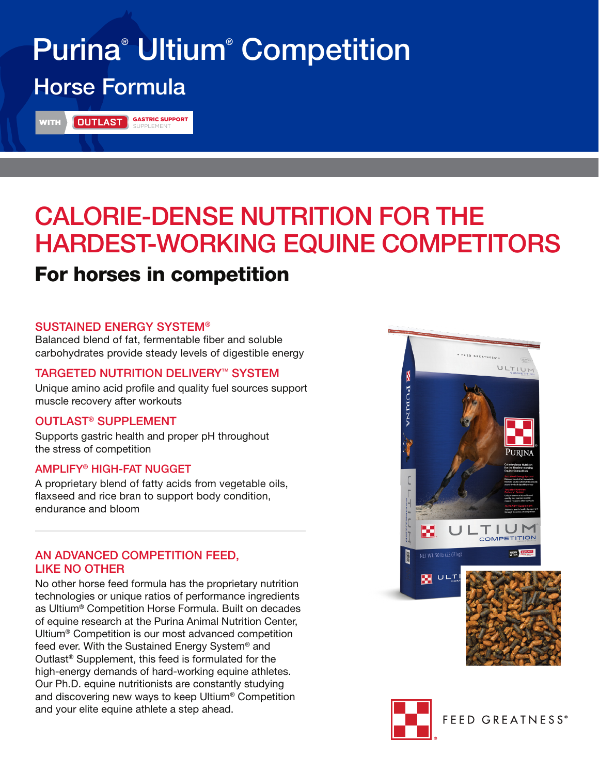# Purina® Ultium® Competition Horse Formula

WITH **GLUTLAST** GASTRIC SUPPORT

## CALORIE-DENSE NUTRITION FOR THE HARDEST-WORKING EQUINE COMPETITORS For horses in competition

### SUSTAINED ENERGY SYSTEM®

Balanced blend of fat, fermentable fiber and soluble carbohydrates provide steady levels of digestible energy

### TARGETED NUTRITION DELIVERY™ SYSTEM

Unique amino acid profile and quality fuel sources support muscle recovery after workouts

### OUTLAST® SUPPLEMENT

Supports gastric health and proper pH throughout the stress of competition

### AMPLIFY® HIGH-FAT NUGGET

A proprietary blend of fatty acids from vegetable oils, flaxseed and rice bran to support body condition, endurance and bloom

### AN ADVANCED COMPETITION FEED, LIKE NO OTHER

No other horse feed formula has the proprietary nutrition technologies or unique ratios of performance ingredients as Ultium® Competition Horse Formula. Built on decades of equine research at the Purina Animal Nutrition Center, Ultium® Competition is our most advanced competition feed ever. With the Sustained Energy System® and Outlast® Supplement, this feed is formulated for the high-energy demands of hard-working equine athletes. Our Ph.D. equine nutritionists are constantly studying and discovering new ways to keep Ultium® Competition and your elite equine athlete a step ahead.





**FEED GREATNESS®**